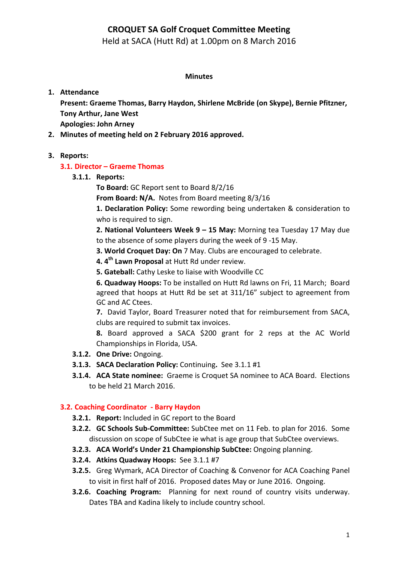## **CROQUET SA Golf Croquet Committee Meeting**

Held at SACA (Hutt Rd) at 1.00pm on 8 March 2016

#### **Minutes**

#### **1. Attendance**

Present: Graeme Thomas, Barry Haydon, Shirlene McBride (on Skype), Bernie Pfitzner, **Tony Arthur, Jane West Apologies: John Arney**

2. Minutes of meeting held on 2 February 2016 approved.

### **3. Reports:**

### **3.1. Director – Graeme Thomas**

**3.1.1. Reports:**

**To Board:** GC Report sent to Board 8/2/16

**From Board: N/A.** Notes from Board meeting 8/3/16

**1. Declaration Policy:** Some rewording being undertaken & consideration to who is required to sign.

**2. National Volunteers Week 9 - 15 May:** Morning tea Tuesday 17 May due to the absence of some players during the week of 9 -15 May.

**3. World Croquet Day: On** 7 May. Clubs are encouraged to celebrate.

**4.** 4<sup>th</sup> Lawn Proposal at Hutt Rd under review.

**5. Gateball:** Cathy Leske to liaise with Woodville CC

**6. Quadway Hoops:** To be installed on Hutt Rd lawns on Fri, 11 March; Board agreed that hoops at Hutt Rd be set at 311/16" subject to agreement from GC and AC Ctees.

**7.** David Taylor, Board Treasurer noted that for reimbursement from SACA, clubs are required to submit tax invoices.

**8.** Board approved a SACA \$200 grant for 2 reps at the AC World Championships in Florida, USA.

- **3.1.2. One Drive: Ongoing.**
- **3.1.3. SACA Declaration Policy:** Continuing. See 3.1.1 #1
- **3.1.4.** ACA State nominee: Graeme is Croquet SA nominee to ACA Board. Elections to be held 21 March 2016.

### **3.2. Coaching Coordinator - Barry Haydon**

- **3.2.1. Report:** Included in GC report to the Board
- **3.2.2. GC Schools Sub-Committee:** SubCtee met on 11 Feb. to plan for 2016. Some discussion on scope of SubCtee ie what is age group that SubCtee overviews.
- **3.2.3. ACA World's Under 21 Championship SubCtee:** Ongoing planning.
- **3.2.4.** Atkins Quadway Hoops: See 3.1.1 #7
- **3.2.5.** Greg Wymark, ACA Director of Coaching & Convenor for ACA Coaching Panel to visit in first half of 2016. Proposed dates May or June 2016. Ongoing.
- **3.2.6. Coaching Program:** Planning for next round of country visits underway. Dates TBA and Kadina likely to include country school.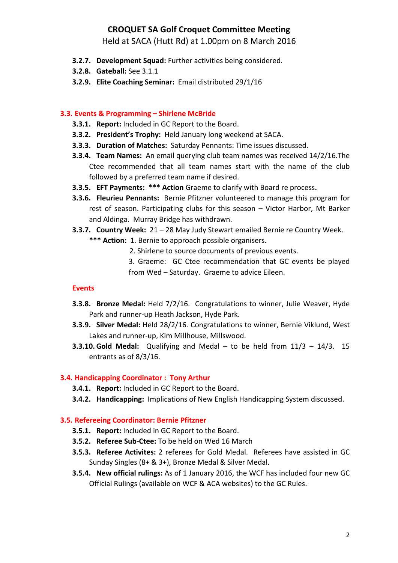# **CROQUET SA Golf Croquet Committee Meeting**

Held at SACA (Hutt Rd) at 1.00pm on 8 March 2016

- **3.2.7.** Development Squad: Further activities being considered.
- **3.2.8. Gateball:** See 3.1.1
- **3.2.9. Elite Coaching Seminar:** Email distributed 29/1/16

### **3.3. Events & Programming – Shirlene McBride**

- **3.3.1. Report:** Included in GC Report to the Board.
- **3.3.2. President's Trophy:** Held January long weekend at SACA.
- **3.3.3. Duration of Matches:** Saturday Pennants: Time issues discussed.
- **3.3.4. Team Names:** An email querying club team names was received 14/2/16. The Ctee recommended that all team names start with the name of the club followed by a preferred team name if desired.
- **3.3.5. EFT Payments: \*\*\* Action** Graeme to clarify with Board re process.
- **3.3.6. Fleurieu Pennants:** Bernie Pfitzner volunteered to manage this program for rest of season. Participating clubs for this season  $-$  Victor Harbor, Mt Barker and Aldinga. Murray Bridge has withdrawn.
- **3.3.7. Country Week:** 21 28 May Judy Stewart emailed Bernie re Country Week.
	- \*\*\* Action: 1. Bernie to approach possible organisers.
		- 2. Shirlene to source documents of previous events.
		- 3. Graeme: GC Ctee recommendation that GC events be played from Wed - Saturday. Graeme to advice Eileen.

### **Events**

- **3.3.8. Bronze Medal:** Held 7/2/16. Congratulations to winner, Julie Weaver, Hyde Park and runner-up Heath Jackson, Hyde Park.
- **3.3.9. Silver Medal:** Held 28/2/16. Congratulations to winner, Bernie Viklund, West Lakes and runner-up, Kim Millhouse, Millswood.
- **3.3.10. Gold Medal:** Qualifying and Medal to be held from  $11/3 14/3$ . 15 entrants as of 8/3/16.

### **3.4. Handicapping Coordinator: Tony Arthur**

- **3.4.1. Report:** Included in GC Report to the Board.
- **3.4.2. Handicapping:** Implications of New English Handicapping System discussed.

### **3.5. Refereeing Coordinator: Bernie Pfitzner**

- **3.5.1. Report:** Included in GC Report to the Board.
- **3.5.2. Referee Sub-Ctee:** To be held on Wed 16 March
- **3.5.3. Referee Activites:** 2 referees for Gold Medal. Referees have assisted in GC Sunday Singles  $(8 + 8 + 3)$ , Bronze Medal & Silver Medal.
- **3.5.4. New official rulings:** As of 1 January 2016, the WCF has included four new GC Official Rulings (available on WCF & ACA websites) to the GC Rules.